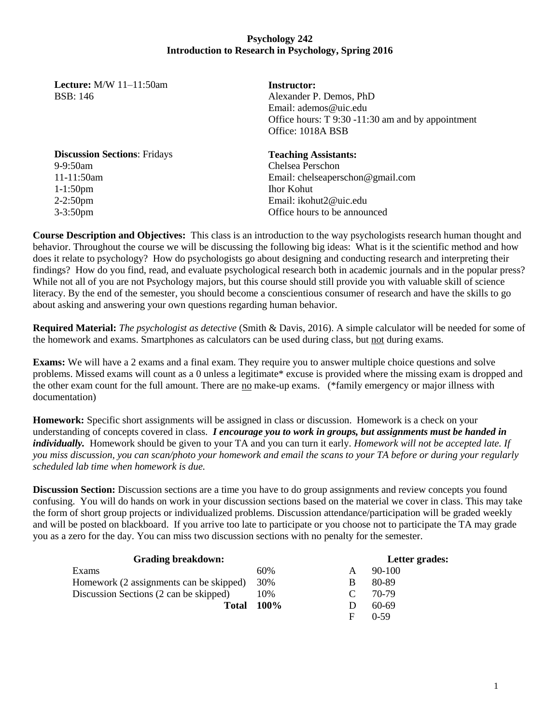# **Psychology 242 Introduction to Research in Psychology, Spring 2016**

**Lecture:** M/W 11–11:50am BSB: 146

**Instructor:**  Alexander P. Demos, PhD Email: ademos@uic.edu Office hours: T 9:30 -11:30 am and by appointment Office: 1018A BSB

**Discussion Sections**: Fridays 9-9:50am 11-11:50am 1-1:50pm 2-2:50pm 3-3:50pm

### **Teaching Assistants:**

Chelsea Perschon Email: [chelseaperschon@gmail.com](mailto:chelseaperschon@gmail.com) Ihor Kohut Email: [ikohut2@uic.edu](mailto:ikohut2@uic.edu) Office hours to be announced

**Course Description and Objectives:** This class is an introduction to the way psychologists research human thought and behavior. Throughout the course we will be discussing the following big ideas: What is it the scientific method and how does it relate to psychology? How do psychologists go about designing and conducting research and interpreting their findings? How do you find, read, and evaluate psychological research both in academic journals and in the popular press? While not all of you are not Psychology majors, but this course should still provide you with valuable skill of science literacy. By the end of the semester, you should become a conscientious consumer of research and have the skills to go about asking and answering your own questions regarding human behavior.

**Required Material:** *The psychologist as detective* (Smith & Davis, 2016). A simple calculator will be needed for some of the homework and exams. Smartphones as calculators can be used during class, but not during exams.

**Exams:** We will have a 2 exams and a final exam. They require you to answer multiple choice questions and solve problems. Missed exams will count as a 0 unless a legitimate\* excuse is provided where the missing exam is dropped and the other exam count for the full amount. There are no make-up exams. (\*family emergency or major illness with documentation)

**Homework:** Specific short assignments will be assigned in class or discussion. Homework is a check on your understanding of concepts covered in class. *I encourage you to work in groups, but assignments must be handed in individually.* Homework should be given to your TA and you can turn it early. *Homework will not be accepted late. If you miss discussion, you can scan/photo your homework and email the scans to your TA before or during your regularly scheduled lab time when homework is due.* 

**Discussion Section:** Discussion sections are a time you have to do group assignments and review concepts you found confusing. You will do hands on work in your discussion sections based on the material we cover in class. This may take the form of short group projects or individualized problems. Discussion attendance/participation will be graded weekly and will be posted on blackboard. If you arrive too late to participate or you choose not to participate the TA may grade you as a zero for the day. You can miss two discussion sections with no penalty for the semester.

| <b>Grading breakdown:</b>               |      |          | Letter grades: |
|-----------------------------------------|------|----------|----------------|
| Exams                                   | 60%  | A        | $90-100$       |
| Homework (2 assignments can be skipped) | 30%  | B        | 80-89          |
| Discussion Sections (2 can be skipped)  | 10%  | $\Gamma$ | 70-79          |
| Total                                   | 100% |          | 60-69          |
|                                         |      | F        | $0-59$         |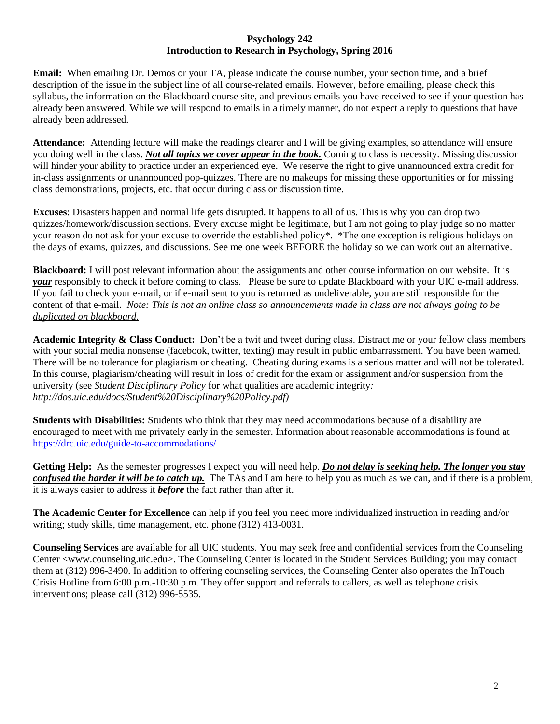## **Psychology 242 Introduction to Research in Psychology, Spring 2016**

**Email:** When emailing Dr. Demos or your TA, please indicate the course number, your section time, and a brief description of the issue in the subject line of all course-related emails. However, before emailing, please check this syllabus, the information on the Blackboard course site, and previous emails you have received to see if your question has already been answered. While we will respond to emails in a timely manner, do not expect a reply to questions that have already been addressed.

**Attendance:** Attending lecture will make the readings clearer and I will be giving examples, so attendance will ensure you doing well in the class. *Not all topics we cover appear in the book.* Coming to class is necessity. Missing discussion will hinder your ability to practice under an experienced eye. We reserve the right to give unannounced extra credit for in-class assignments or unannounced pop-quizzes. There are no makeups for missing these opportunities or for missing class demonstrations, projects, etc. that occur during class or discussion time.

**Excuses**: Disasters happen and normal life gets disrupted. It happens to all of us. This is why you can drop two quizzes/homework/discussion sections. Every excuse might be legitimate, but I am not going to play judge so no matter your reason do not ask for your excuse to override the established policy\*. \*The one exception is religious holidays on the days of exams, quizzes, and discussions. See me one week BEFORE the holiday so we can work out an alternative.

**Blackboard:** I will post relevant information about the assignments and other course information on our website. It is *your* responsibly to check it before coming to class. Please be sure to update Blackboard with your UIC e-mail address. If you fail to check your e-mail, or if e-mail sent to you is returned as undeliverable, you are still responsible for the content of that e-mail. *Note: This is not an online class so announcements made in class are not always going to be duplicated on blackboard.* 

**Academic Integrity & Class Conduct:** Don't be a twit and tweet during class. Distract me or your fellow class members with your social media nonsense (facebook, twitter, texting) may result in public embarrassment. You have been warned. There will be no tolerance for plagiarism or cheating. Cheating during exams is a serious matter and will not be tolerated. In this course, plagiarism/cheating will result in loss of credit for the exam or assignment and/or suspension from the university (see *Student Disciplinary Policy* for what qualities are academic integrity*: http://dos.uic.edu/docs/Student%20Disciplinary%20Policy.pdf)*

**Students with Disabilities:** Students who think that they may need accommodations because of a disability are encouraged to meet with me privately early in the semester. Information about reasonable accommodations is found at <https://drc.uic.edu/guide-to-accommodations/>

**Getting Help:** As the semester progresses I expect you will need help. *Do not delay is seeking help. The longer you stay confused the harder it will be to catch up.* The TAs and I am here to help you as much as we can, and if there is a problem, it is always easier to address it *before* the fact rather than after it.

**The Academic Center for Excellence** can help if you feel you need more individualized instruction in reading and/or writing; study skills, time management, etc. phone (312) 413-0031.

**Counseling Services** are available for all UIC students. You may seek free and confidential services from the Counseling Center <www.counseling.uic.edu>. The Counseling Center is located in the Student Services Building; you may contact them at (312) 996-3490. In addition to offering counseling services, the Counseling Center also operates the InTouch Crisis Hotline from 6:00 p.m.-10:30 p.m. They offer support and referrals to callers, as well as telephone crisis interventions; please call (312) 996-5535.